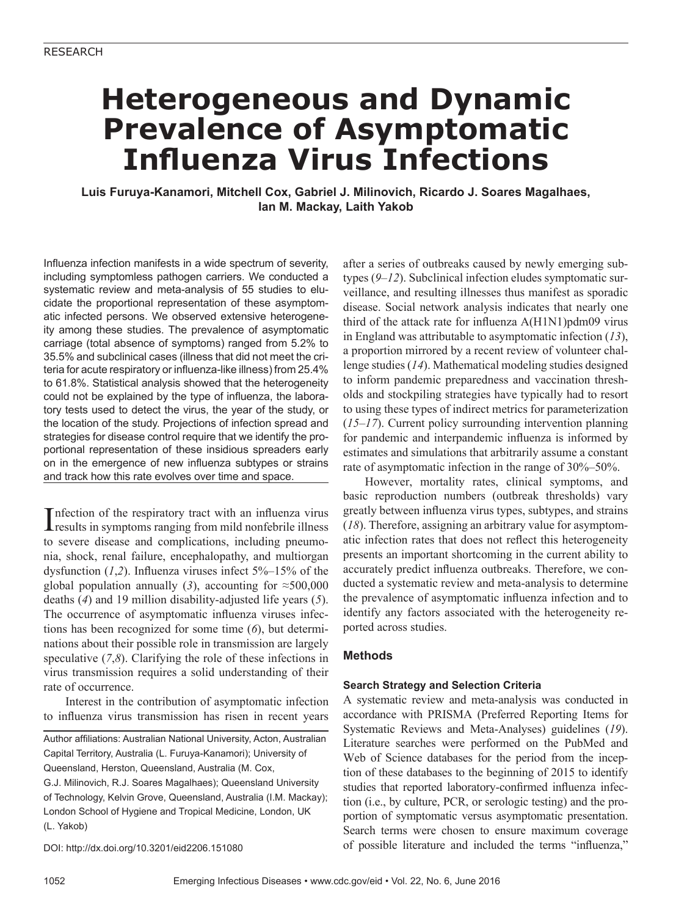# **Heterogeneous and Dynamic Prevalence of Asymptomatic Influenza Virus Infections**

**Luis Furuya-Kanamori, Mitchell Cox, Gabriel J. Milinovich, Ricardo J. Soares Magalhaes, Ian M. Mackay, Laith Yakob**

Influenza infection manifests in a wide spectrum of severity, including symptomless pathogen carriers. We conducted a systematic review and meta-analysis of 55 studies to elucidate the proportional representation of these asymptomatic infected persons. We observed extensive heterogeneity among these studies. The prevalence of asymptomatic carriage (total absence of symptoms) ranged from 5.2% to 35.5% and subclinical cases (illness that did not meet the criteria for acute respiratory or influenza-like illness) from 25.4% to 61.8%. Statistical analysis showed that the heterogeneity could not be explained by the type of influenza, the laboratory tests used to detect the virus, the year of the study, or the location of the study. Projections of infection spread and strategies for disease control require that we identify the proportional representation of these insidious spreaders early on in the emergence of new influenza subtypes or strains and track how this rate evolves over time and space.

Infection of the respiratory tract with an influenza virus<br>results in symptoms ranging from mild nonfebrile illness nfection of the respiratory tract with an influenza virus to severe disease and complications, including pneumonia, shock, renal failure, encephalopathy, and multiorgan dysfunction  $(1,2)$ . Influenza viruses infect 5%–15% of the global population annually (3), accounting for  $\approx$ 500,000 deaths (*4*) and 19 million disability-adjusted life years (*5*). The occurrence of asymptomatic influenza viruses infections has been recognized for some time (*6*), but determinations about their possible role in transmission are largely speculative (*7*,*8*). Clarifying the role of these infections in virus transmission requires a solid understanding of their rate of occurrence.

Interest in the contribution of asymptomatic infection to influenza virus transmission has risen in recent years

DOI: http://dx.doi.org/10.3201/eid2206.151080

after a series of outbreaks caused by newly emerging subtypes (*9*–*12*). Subclinical infection eludes symptomatic surveillance, and resulting illnesses thus manifest as sporadic disease. Social network analysis indicates that nearly one third of the attack rate for influenza A(H1N1)pdm09 virus in England was attributable to asymptomatic infection (*13*), a proportion mirrored by a recent review of volunteer challenge studies (*14*). Mathematical modeling studies designed to inform pandemic preparedness and vaccination thresholds and stockpiling strategies have typically had to resort to using these types of indirect metrics for parameterization (*15*–*17*). Current policy surrounding intervention planning for pandemic and interpandemic influenza is informed by estimates and simulations that arbitrarily assume a constant rate of asymptomatic infection in the range of 30%–50%.

However, mortality rates, clinical symptoms, and basic reproduction numbers (outbreak thresholds) vary greatly between influenza virus types, subtypes, and strains (*18*). Therefore, assigning an arbitrary value for asymptomatic infection rates that does not reflect this heterogeneity presents an important shortcoming in the current ability to accurately predict influenza outbreaks. Therefore, we conducted a systematic review and meta-analysis to determine the prevalence of asymptomatic influenza infection and to identify any factors associated with the heterogeneity reported across studies.

# **Methods**

#### **Search Strategy and Selection Criteria**

A systematic review and meta-analysis was conducted in accordance with PRISMA (Preferred Reporting Items for Systematic Reviews and Meta-Analyses) guidelines (*19*). Literature searches were performed on the PubMed and Web of Science databases for the period from the inception of these databases to the beginning of 2015 to identify studies that reported laboratory-confirmed influenza infection (i.e., by culture, PCR, or serologic testing) and the proportion of symptomatic versus asymptomatic presentation. Search terms were chosen to ensure maximum coverage of possible literature and included the terms "influenza,"

Author affiliations: Australian National University, Acton, Australian Capital Territory, Australia (L. Furuya-Kanamori); University of Queensland, Herston, Queensland, Australia (M. Cox,

G.J. Milinovich, R.J. Soares Magalhaes); Queensland University of Technology, Kelvin Grove, Queensland, Australia (I.M. Mackay); London School of Hygiene and Tropical Medicine, London, UK (L. Yakob)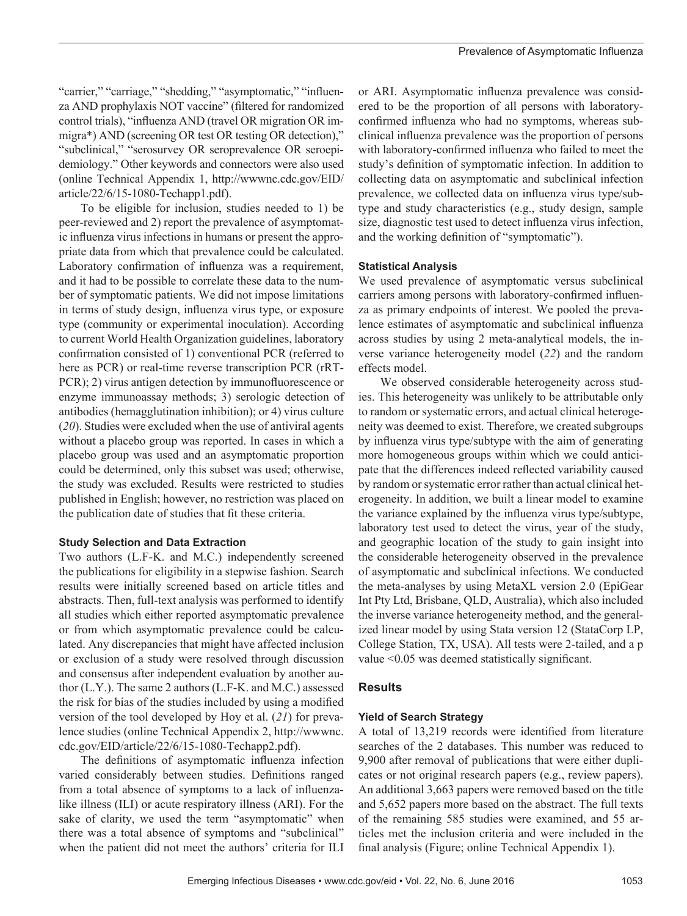"carrier," "carriage," "shedding," "asymptomatic," "influenza AND prophylaxis NOT vaccine" (filtered for randomized control trials), "influenza AND (travel OR migration OR immigra\*) AND (screening OR test OR testing OR detection)," "subclinical," "serosurvey OR seroprevalence OR seroepidemiology." Other keywords and connectors were also used (online Technical Appendix 1, http://wwwnc.cdc.gov/EID/ article/22/6/15-1080-Techapp1.pdf).

To be eligible for inclusion, studies needed to 1) be peer-reviewed and 2) report the prevalence of asymptomatic influenza virus infections in humans or present the appropriate data from which that prevalence could be calculated. Laboratory confirmation of influenza was a requirement, and it had to be possible to correlate these data to the number of symptomatic patients. We did not impose limitations in terms of study design, influenza virus type, or exposure type (community or experimental inoculation). According to current World Health Organization guidelines, laboratory confirmation consisted of 1) conventional PCR (referred to here as PCR) or real-time reverse transcription PCR (rRT-PCR); 2) virus antigen detection by immunofluorescence or enzyme immunoassay methods; 3) serologic detection of antibodies (hemagglutination inhibition); or 4) virus culture (*20*). Studies were excluded when the use of antiviral agents without a placebo group was reported. In cases in which a placebo group was used and an asymptomatic proportion could be determined, only this subset was used; otherwise, the study was excluded. Results were restricted to studies published in English; however, no restriction was placed on the publication date of studies that fit these criteria.

#### **Study Selection and Data Extraction**

Two authors (L.F-K. and M.C.) independently screened the publications for eligibility in a stepwise fashion. Search results were initially screened based on article titles and abstracts. Then, full-text analysis was performed to identify all studies which either reported asymptomatic prevalence or from which asymptomatic prevalence could be calculated. Any discrepancies that might have affected inclusion or exclusion of a study were resolved through discussion and consensus after independent evaluation by another author (L.Y.). The same 2 authors (L.F-K. and M.C.) assessed the risk for bias of the studies included by using a modified version of the tool developed by Hoy et al. (*21*) for prevalence studies (online Technical Appendix 2, http://wwwnc. cdc.gov/EID/article/22/6/15-1080-Techapp2.pdf).

The definitions of asymptomatic influenza infection varied considerably between studies. Definitions ranged from a total absence of symptoms to a lack of influenzalike illness (ILI) or acute respiratory illness (ARI). For the sake of clarity, we used the term "asymptomatic" when there was a total absence of symptoms and "subclinical" when the patient did not meet the authors' criteria for ILI

or ARI. Asymptomatic influenza prevalence was considered to be the proportion of all persons with laboratoryconfirmed influenza who had no symptoms, whereas subclinical influenza prevalence was the proportion of persons with laboratory-confirmed influenza who failed to meet the study's definition of symptomatic infection. In addition to collecting data on asymptomatic and subclinical infection prevalence, we collected data on influenza virus type/subtype and study characteristics (e.g., study design, sample size, diagnostic test used to detect influenza virus infection, and the working definition of "symptomatic").

# **Statistical Analysis**

We used prevalence of asymptomatic versus subclinical carriers among persons with laboratory-confirmed influenza as primary endpoints of interest. We pooled the prevalence estimates of asymptomatic and subclinical influenza across studies by using 2 meta-analytical models, the inverse variance heterogeneity model (*22*) and the random effects model.

We observed considerable heterogeneity across studies. This heterogeneity was unlikely to be attributable only to random or systematic errors, and actual clinical heterogeneity was deemed to exist. Therefore, we created subgroups by influenza virus type/subtype with the aim of generating more homogeneous groups within which we could anticipate that the differences indeed reflected variability caused by random or systematic error rather than actual clinical heterogeneity. In addition, we built a linear model to examine the variance explained by the influenza virus type/subtype, laboratory test used to detect the virus, year of the study, and geographic location of the study to gain insight into the considerable heterogeneity observed in the prevalence of asymptomatic and subclinical infections. We conducted the meta-analyses by using MetaXL version 2.0 (EpiGear Int Pty Ltd, Brisbane, QLD, Australia), which also included the inverse variance heterogeneity method, and the generalized linear model by using Stata version 12 (StataCorp LP, College Station, TX, USA). All tests were 2-tailed, and a p value <0.05 was deemed statistically significant.

# **Results**

# **Yield of Search Strategy**

A total of 13,219 records were identified from literature searches of the 2 databases. This number was reduced to 9,900 after removal of publications that were either duplicates or not original research papers (e.g., review papers). An additional 3,663 papers were removed based on the title and 5,652 papers more based on the abstract. The full texts of the remaining 585 studies were examined, and 55 articles met the inclusion criteria and were included in the final analysis (Figure; online Technical Appendix 1).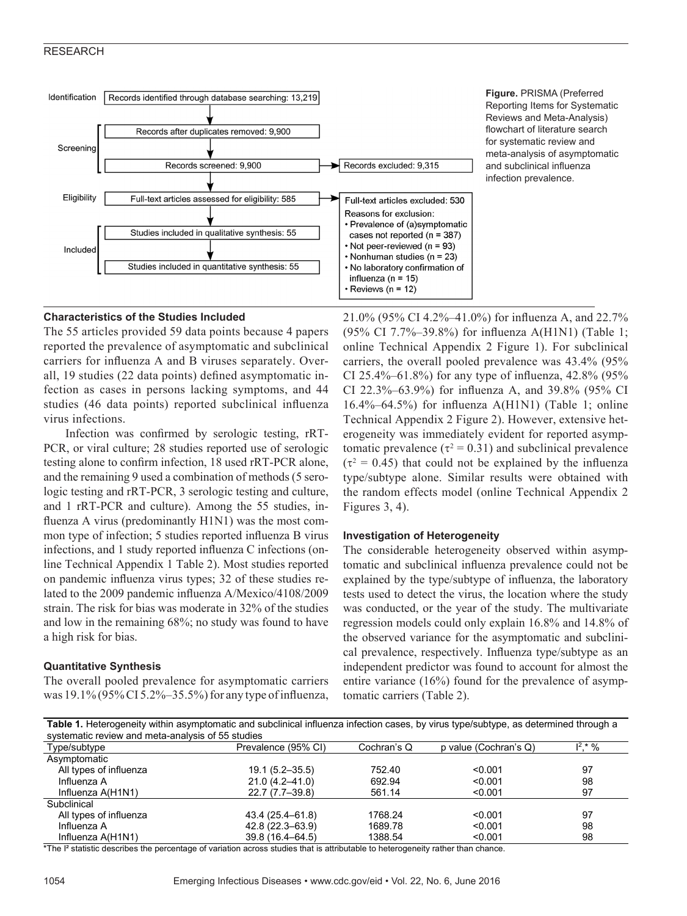#### RESEARCH



**Figure.** PRISMA (Preferred Reporting Items for Systematic Reviews and Meta-Analysis) flowchart of literature search for systematic review and meta-analysis of asymptomatic and subclinical influenza infection prevalence.

## **Characteristics of the Studies Included**

The 55 articles provided 59 data points because 4 papers reported the prevalence of asymptomatic and subclinical carriers for influenza A and B viruses separately. Overall, 19 studies (22 data points) defined asymptomatic infection as cases in persons lacking symptoms, and 44 studies (46 data points) reported subclinical influenza virus infections.

Infection was confirmed by serologic testing, rRT-PCR, or viral culture; 28 studies reported use of serologic testing alone to confirm infection, 18 used rRT-PCR alone, and the remaining 9 used a combination of methods (5 serologic testing and rRT-PCR, 3 serologic testing and culture, and 1 rRT-PCR and culture). Among the 55 studies, influenza A virus (predominantly H1N1) was the most common type of infection; 5 studies reported influenza B virus infections, and 1 study reported influenza C infections (online Technical Appendix 1 Table 2). Most studies reported on pandemic influenza virus types; 32 of these studies related to the 2009 pandemic influenza A/Mexico/4108/2009 strain. The risk for bias was moderate in 32% of the studies and low in the remaining 68%; no study was found to have a high risk for bias.

# **Quantitative Synthesis**

The overall pooled prevalence for asymptomatic carriers was 19.1% (95% CI 5.2%–35.5%) for any type of influenza,

21.0% (95% CI 4.2%–41.0%) for influenza A, and 22.7% (95% CI 7.7%–39.8%) for influenza A(H1N1) (Table 1; online Technical Appendix 2 Figure 1). For subclinical carriers, the overall pooled prevalence was 43.4% (95% CI 25.4%–61.8%) for any type of influenza, 42.8% (95% CI 22.3%–63.9%) for influenza A, and 39.8% (95% CI 16.4%–64.5%) for influenza A(H1N1) (Table 1; online Technical Appendix 2 Figure 2). However, extensive heterogeneity was immediately evident for reported asymptomatic prevalence ( $\tau^2$  = 0.31) and subclinical prevalence  $(\tau^2 = 0.45)$  that could not be explained by the influenza type/subtype alone. Similar results were obtained with the random effects model (online Technical Appendix 2 Figures 3, 4).

#### **Investigation of Heterogeneity**

The considerable heterogeneity observed within asymptomatic and subclinical influenza prevalence could not be explained by the type/subtype of influenza, the laboratory tests used to detect the virus, the location where the study was conducted, or the year of the study. The multivariate regression models could only explain 16.8% and 14.8% of the observed variance for the asymptomatic and subclinical prevalence, respectively. Influenza type/subtype as an independent predictor was found to account for almost the entire variance (16%) found for the prevalence of asymptomatic carriers (Table 2).

| Table 1. Heterogeneity within asymptomatic and subclinical influenza infection cases, by virus type/subtype, as determined through a |                     |                     |                       |            |  |  |  |  |
|--------------------------------------------------------------------------------------------------------------------------------------|---------------------|---------------------|-----------------------|------------|--|--|--|--|
| systematic review and meta-analysis of 55 studies                                                                                    |                     |                     |                       |            |  |  |  |  |
| Tynolouhtyno                                                                                                                         | Dravalonca (05% CI) | $C$ ochron's $\cap$ | n value (Coehran's O) | $12 * 0/2$ |  |  |  |  |

| Type/subtype           | Prevalence (95% CI) | Cochran's Q | p value (Cochran's Q) | $1^2$ * % |
|------------------------|---------------------|-------------|-----------------------|-----------|
| Asymptomatic           |                     |             |                       |           |
| All types of influenza | $19.1(5.2 - 35.5)$  | 752.40      | < 0.001               | 97        |
| Influenza A            | $21.0(4.2 - 41.0)$  | 692.94      | < 0.001               | 98        |
| Influenza A(H1N1)      | $22.7(7.7-39.8)$    | 561.14      | < 0.001               | 97        |
| Subclinical            |                     |             |                       |           |
| All types of influenza | 43.4 (25.4–61.8)    | 1768 24     | < 0.001               | 97        |
| Influenza A            | 42.8 (22.3–63.9)    | 1689.78     | < 0.001               | 98        |
| Influenza A(H1N1)      | $39.8(16.4 - 64.5)$ | 1388.54     | < 0.001               | 98        |

\*The I<sup>2</sup> statistic describes the percentage of variation across studies that is attributable to heterogeneity rather than chance.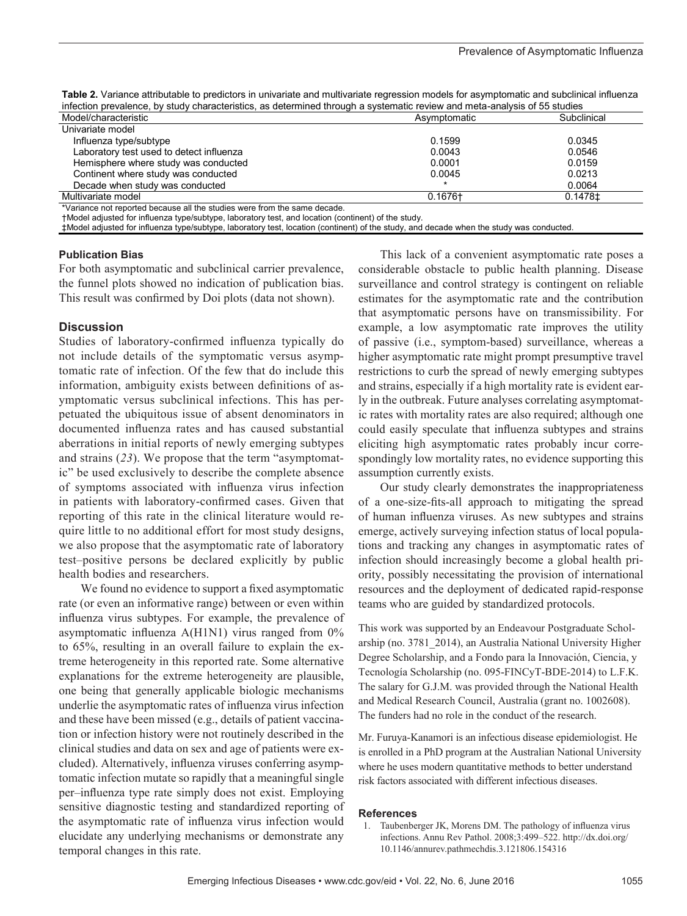|  |  |  |  | Table 2. Variance attributable to predictors in univariate and multivariate regression models for asymptomatic and subclinical influenza |  |
|--|--|--|--|------------------------------------------------------------------------------------------------------------------------------------------|--|
|  |  |  |  | infection prevalence, by study characteristics, as determined through a systematic review and meta-analysis of 55 studies                |  |

| Model/characteristic                     | Asymptomatic | Subclinical           |
|------------------------------------------|--------------|-----------------------|
| Univariate model                         |              |                       |
| Influenza type/subtype                   | 0.1599       | 0.0345                |
| Laboratory test used to detect influenza | 0.0043       | 0.0546                |
| Hemisphere where study was conducted     | 0.0001       | 0.0159                |
| Continent where study was conducted      | 0.0045       | 0.0213                |
| Decade when study was conducted          |              | 0.0064                |
| Multivariate model                       | $0.1676 +$   | $0.1478$ <sup>±</sup> |

\*Variance not reported because all the studies were from the same decade.

†Model adjusted for influenza type/subtype, laboratory test, and location (continent) of the study.

‡Model adjusted for influenza type/subtype, laboratory test, location (continent) of the study, and decade when the study was conducted.

#### **Publication Bias**

For both asymptomatic and subclinical carrier prevalence, the funnel plots showed no indication of publication bias. This result was confirmed by Doi plots (data not shown).

#### **Discussion**

Studies of laboratory-confirmed influenza typically do not include details of the symptomatic versus asymptomatic rate of infection. Of the few that do include this information, ambiguity exists between definitions of asymptomatic versus subclinical infections. This has perpetuated the ubiquitous issue of absent denominators in documented influenza rates and has caused substantial aberrations in initial reports of newly emerging subtypes and strains (*23*). We propose that the term "asymptomatic" be used exclusively to describe the complete absence of symptoms associated with influenza virus infection in patients with laboratory-confirmed cases. Given that reporting of this rate in the clinical literature would require little to no additional effort for most study designs, we also propose that the asymptomatic rate of laboratory test–positive persons be declared explicitly by public health bodies and researchers.

We found no evidence to support a fixed asymptomatic rate (or even an informative range) between or even within influenza virus subtypes. For example, the prevalence of asymptomatic influenza A(H1N1) virus ranged from 0% to 65%, resulting in an overall failure to explain the extreme heterogeneity in this reported rate. Some alternative explanations for the extreme heterogeneity are plausible, one being that generally applicable biologic mechanisms underlie the asymptomatic rates of influenza virus infection and these have been missed (e.g., details of patient vaccination or infection history were not routinely described in the clinical studies and data on sex and age of patients were excluded). Alternatively, influenza viruses conferring asymptomatic infection mutate so rapidly that a meaningful single per–influenza type rate simply does not exist. Employing sensitive diagnostic testing and standardized reporting of the asymptomatic rate of influenza virus infection would elucidate any underlying mechanisms or demonstrate any temporal changes in this rate.

This lack of a convenient asymptomatic rate poses a considerable obstacle to public health planning. Disease surveillance and control strategy is contingent on reliable estimates for the asymptomatic rate and the contribution that asymptomatic persons have on transmissibility. For example, a low asymptomatic rate improves the utility of passive (i.e., symptom-based) surveillance, whereas a higher asymptomatic rate might prompt presumptive travel restrictions to curb the spread of newly emerging subtypes and strains, especially if a high mortality rate is evident early in the outbreak. Future analyses correlating asymptomatic rates with mortality rates are also required; although one could easily speculate that influenza subtypes and strains eliciting high asymptomatic rates probably incur correspondingly low mortality rates, no evidence supporting this assumption currently exists.

Our study clearly demonstrates the inappropriateness of a one-size-fits-all approach to mitigating the spread of human influenza viruses. As new subtypes and strains emerge, actively surveying infection status of local populations and tracking any changes in asymptomatic rates of infection should increasingly become a global health priority, possibly necessitating the provision of international resources and the deployment of dedicated rapid-response teams who are guided by standardized protocols.

This work was supported by an Endeavour Postgraduate Scholarship (no. 3781\_2014), an Australia National University Higher Degree Scholarship, and a Fondo para la Innovación, Ciencia, y Tecnología Scholarship (no. 095-FINCyT-BDE-2014) to L.F.K. The salary for G.J.M. was provided through the National Health and Medical Research Council, Australia (grant no. 1002608). The funders had no role in the conduct of the research.

Mr. Furuya-Kanamori is an infectious disease epidemiologist. He is enrolled in a PhD program at the Australian National University where he uses modern quantitative methods to better understand risk factors associated with different infectious diseases.

#### **References**

 1. Taubenberger JK, Morens DM. The pathology of influenza virus infections. Annu Rev Pathol. 2008;3:499–522. http://dx.doi.org/ 10.1146/annurev.pathmechdis.3.121806.154316